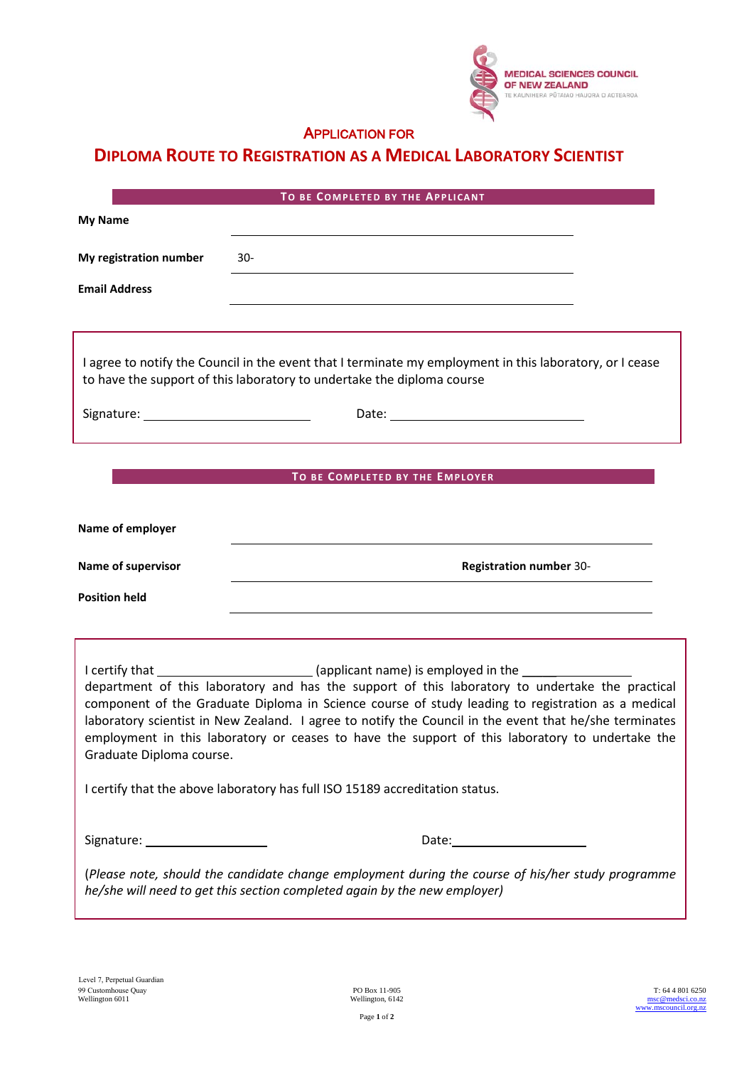

## APPLICATION FOR

## **DIPLOMA ROUTE TO REGISTRATION AS A MEDICAL LABORATORY SCIENTIST**

|                                 | TO BE COMPLETED BY THE APPLICANT                                                                                                                                                                                                                                                                                                                                                                                                                                                                                                                                                                                                                                                                                                                           |  |  |  |
|---------------------------------|------------------------------------------------------------------------------------------------------------------------------------------------------------------------------------------------------------------------------------------------------------------------------------------------------------------------------------------------------------------------------------------------------------------------------------------------------------------------------------------------------------------------------------------------------------------------------------------------------------------------------------------------------------------------------------------------------------------------------------------------------------|--|--|--|
| <b>My Name</b>                  |                                                                                                                                                                                                                                                                                                                                                                                                                                                                                                                                                                                                                                                                                                                                                            |  |  |  |
| My registration number          | $30 -$                                                                                                                                                                                                                                                                                                                                                                                                                                                                                                                                                                                                                                                                                                                                                     |  |  |  |
| <b>Email Address</b>            | <u> 1980 - Jan Sterling Sterling (d. 1980)</u>                                                                                                                                                                                                                                                                                                                                                                                                                                                                                                                                                                                                                                                                                                             |  |  |  |
|                                 |                                                                                                                                                                                                                                                                                                                                                                                                                                                                                                                                                                                                                                                                                                                                                            |  |  |  |
|                                 | I agree to notify the Council in the event that I terminate my employment in this laboratory, or I cease<br>to have the support of this laboratory to undertake the diploma course                                                                                                                                                                                                                                                                                                                                                                                                                                                                                                                                                                         |  |  |  |
|                                 |                                                                                                                                                                                                                                                                                                                                                                                                                                                                                                                                                                                                                                                                                                                                                            |  |  |  |
|                                 |                                                                                                                                                                                                                                                                                                                                                                                                                                                                                                                                                                                                                                                                                                                                                            |  |  |  |
| TO BE COMPLETED BY THE EMPLOYER |                                                                                                                                                                                                                                                                                                                                                                                                                                                                                                                                                                                                                                                                                                                                                            |  |  |  |
| Name of employer                |                                                                                                                                                                                                                                                                                                                                                                                                                                                                                                                                                                                                                                                                                                                                                            |  |  |  |
| Name of supervisor              | <b>Registration number 30-</b>                                                                                                                                                                                                                                                                                                                                                                                                                                                                                                                                                                                                                                                                                                                             |  |  |  |
| <b>Position held</b>            |                                                                                                                                                                                                                                                                                                                                                                                                                                                                                                                                                                                                                                                                                                                                                            |  |  |  |
|                                 |                                                                                                                                                                                                                                                                                                                                                                                                                                                                                                                                                                                                                                                                                                                                                            |  |  |  |
|                                 |                                                                                                                                                                                                                                                                                                                                                                                                                                                                                                                                                                                                                                                                                                                                                            |  |  |  |
|                                 | I certify that __________________________(applicant name) is employed in the ______________________<br>department of this laboratory and has the support of this laboratory to undertake the practical<br>component of the Graduate Diploma in Science course of study leading to registration as a medical<br>laboratory scientist in New Zealand. I agree to notify the Council in the event that he/she terminates<br>employment in this laboratory or ceases to have the support of this laboratory to undertake the<br>Graduate Diploma course. The control of the control of the control of the control of the control of the control of the control of the control of the control of the control of the control of the control of the control of th |  |  |  |
|                                 | I certify that the above laboratory has full ISO 15189 accreditation status.                                                                                                                                                                                                                                                                                                                                                                                                                                                                                                                                                                                                                                                                               |  |  |  |
|                                 |                                                                                                                                                                                                                                                                                                                                                                                                                                                                                                                                                                                                                                                                                                                                                            |  |  |  |